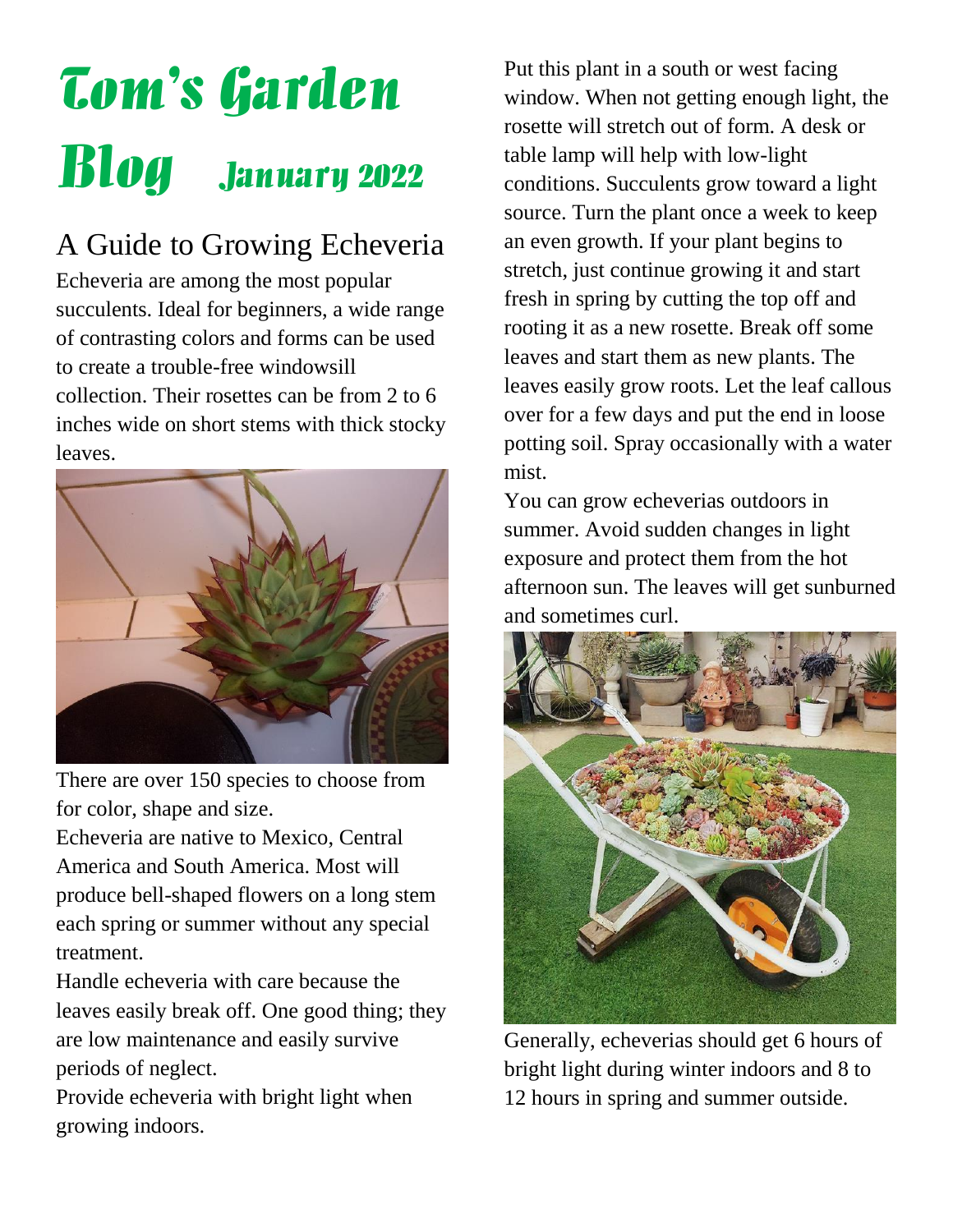# Tom's Garden Blog January 2022

### A Guide to Growing Echeveria

Echeveria are among the most popular succulents. Ideal for beginners, a wide range of contrasting colors and forms can be used to create a trouble-free windowsill collection. Their rosettes can be from 2 to 6 inches wide on short stems with thick stocky leaves.



There are over 150 species to choose from for color, shape and size.

Echeveria are native to Mexico, Central America and South America. Most will produce bell-shaped flowers on a long stem each spring or summer without any special treatment.

Handle echeveria with care because the leaves easily break off. One good thing; they are low maintenance and easily survive periods of neglect.

Provide echeveria with bright light when growing indoors.

Put this plant in a south or west facing window. When not getting enough light, the rosette will stretch out of form. A desk or table lamp will help with low-light conditions. Succulents grow toward a light source. Turn the plant once a week to keep an even growth. If your plant begins to stretch, just continue growing it and start fresh in spring by cutting the top off and rooting it as a new rosette. Break off some leaves and start them as new plants. The leaves easily grow roots. Let the leaf callous over for a few days and put the end in loose potting soil. Spray occasionally with a water mist.

You can grow echeverias outdoors in summer. Avoid sudden changes in light exposure and protect them from the hot afternoon sun. The leaves will get sunburned and sometimes curl.



Generally, echeverias should get 6 hours of bright light during winter indoors and 8 to 12 hours in spring and summer outside.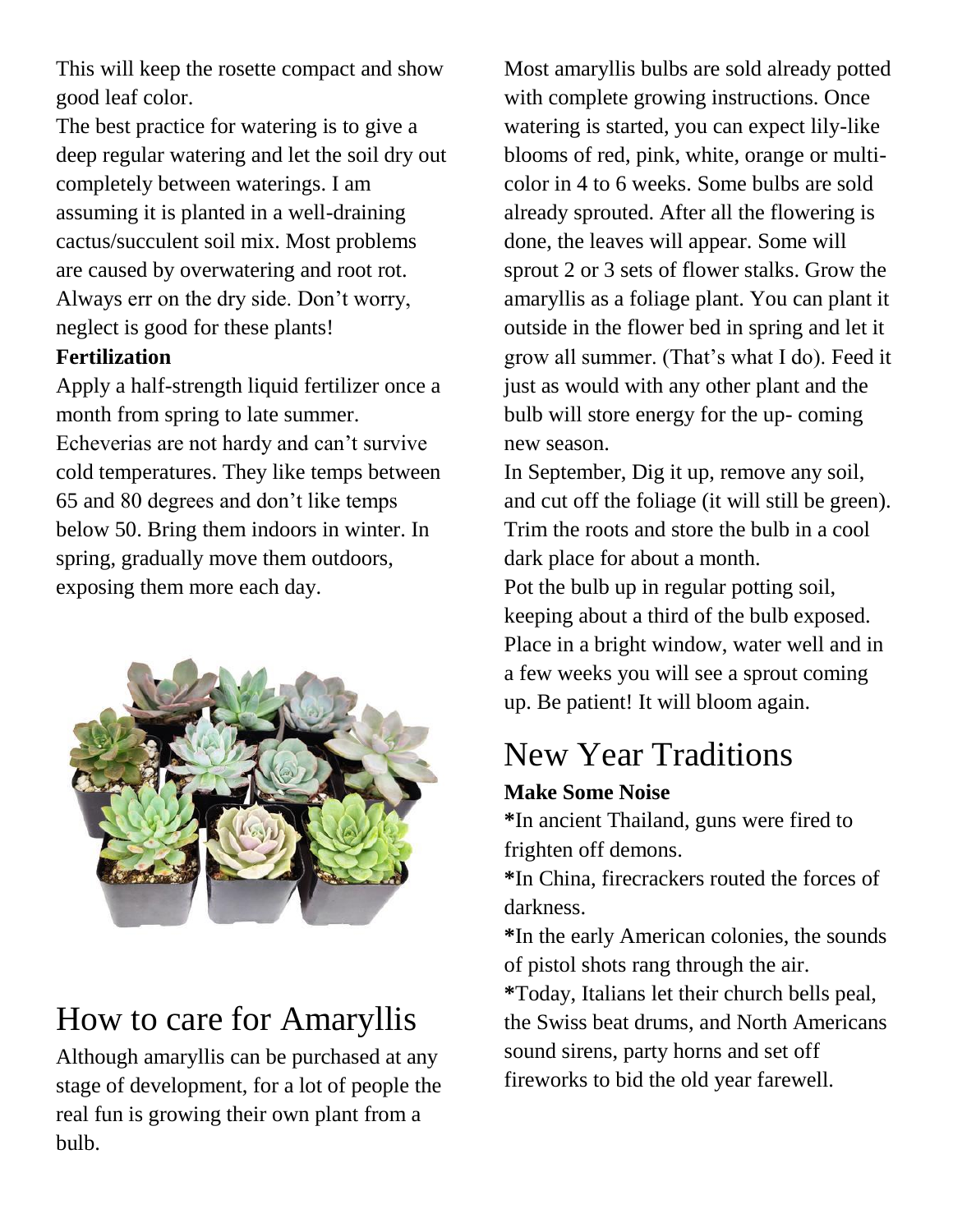This will keep the rosette compact and show good leaf color.

The best practice for watering is to give a deep regular watering and let the soil dry out completely between waterings. I am assuming it is planted in a well-draining cactus/succulent soil mix. Most problems are caused by overwatering and root rot. Always err on the dry side. Don't worry, neglect is good for these plants!

### **Fertilization**

Apply a half-strength liquid fertilizer once a month from spring to late summer. Echeverias are not hardy and can't survive cold temperatures. They like temps between 65 and 80 degrees and don't like temps below 50. Bring them indoors in winter. In spring, gradually move them outdoors, exposing them more each day.



### How to care for Amaryllis

Although amaryllis can be purchased at any stage of development, for a lot of people the real fun is growing their own plant from a bulb.

Most amaryllis bulbs are sold already potted with complete growing instructions. Once watering is started, you can expect lily-like blooms of red, pink, white, orange or multicolor in 4 to 6 weeks. Some bulbs are sold already sprouted. After all the flowering is done, the leaves will appear. Some will sprout 2 or 3 sets of flower stalks. Grow the amaryllis as a foliage plant. You can plant it outside in the flower bed in spring and let it grow all summer. (That's what I do). Feed it just as would with any other plant and the bulb will store energy for the up- coming new season.

In September, Dig it up, remove any soil, and cut off the foliage (it will still be green). Trim the roots and store the bulb in a cool dark place for about a month. Pot the bulb up in regular potting soil, keeping about a third of the bulb exposed. Place in a bright window, water well and in a few weeks you will see a sprout coming up. Be patient! It will bloom again.

## New Year Traditions

### **Make Some Noise**

**\***In ancient Thailand, guns were fired to frighten off demons.

**\***In China, firecrackers routed the forces of darkness.

**\***In the early American colonies, the sounds of pistol shots rang through the air. **\***Today, Italians let their church bells peal, the Swiss beat drums, and North Americans sound sirens, party horns and set off fireworks to bid the old year farewell.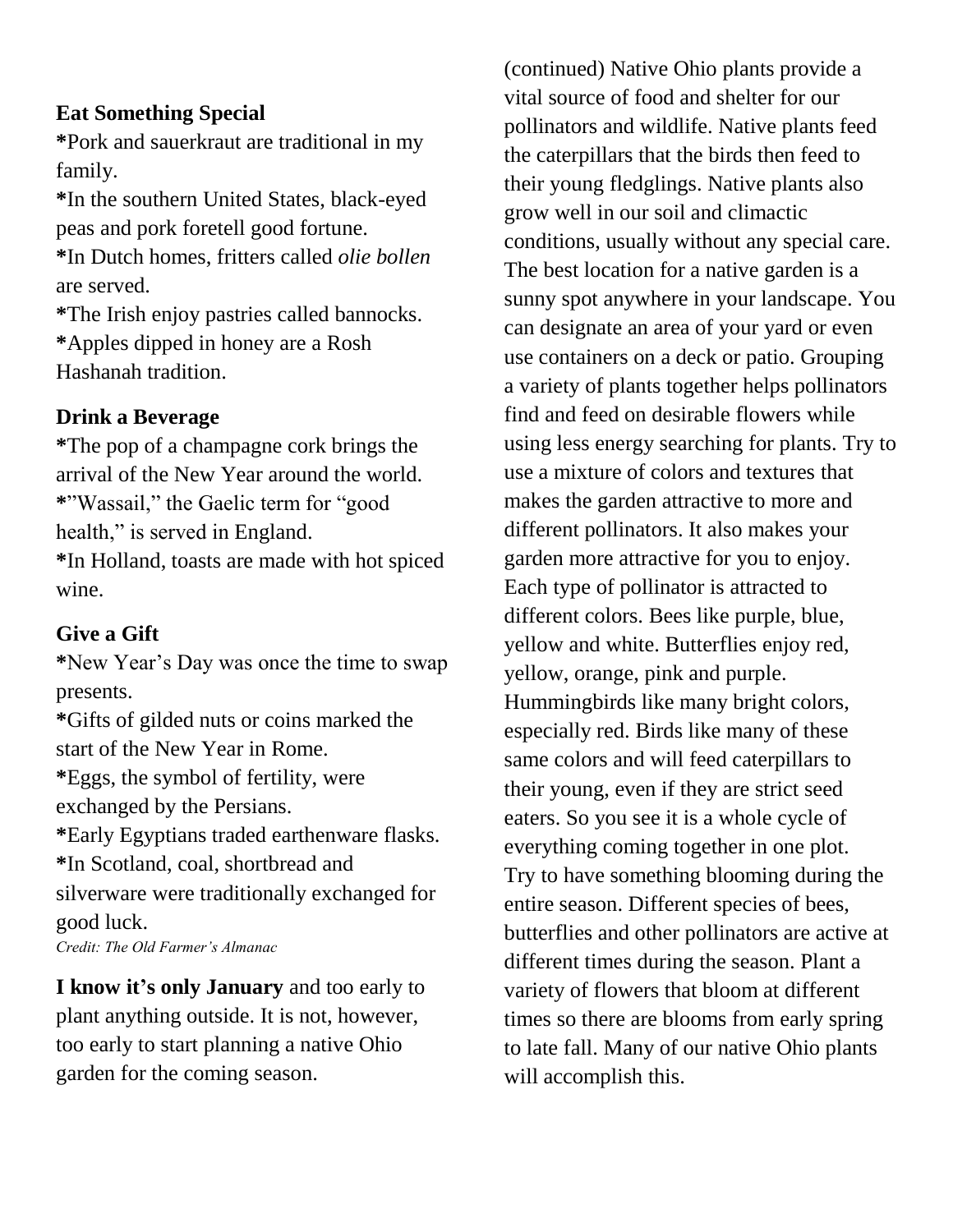### **Eat Something Special**

**\***Pork and sauerkraut are traditional in my family.

**\***In the southern United States, black-eyed peas and pork foretell good fortune.

**\***In Dutch homes, fritters called *olie bollen*  are served.

**\***The Irish enjoy pastries called bannocks. **\***Apples dipped in honey are a Rosh Hashanah tradition.

#### **Drink a Beverage**

**\***The pop of a champagne cork brings the arrival of the New Year around the world. **\***"Wassail," the Gaelic term for "good health," is served in England. **\***In Holland, toasts are made with hot spiced wine.

#### **Give a Gift**

**\***New Year's Day was once the time to swap presents.

**\***Gifts of gilded nuts or coins marked the start of the New Year in Rome. **\***Eggs, the symbol of fertility, were exchanged by the Persians. **\***Early Egyptians traded earthenware flasks. **\***In Scotland, coal, shortbread and silverware were traditionally exchanged for good luck. *Credit: The Old Farmer's Almanac*

**I know it's only January** and too early to plant anything outside. It is not, however, too early to start planning a native Ohio garden for the coming season.

(continued) Native Ohio plants provide a vital source of food and shelter for our pollinators and wildlife. Native plants feed the caterpillars that the birds then feed to their young fledglings. Native plants also grow well in our soil and climactic conditions, usually without any special care. The best location for a native garden is a sunny spot anywhere in your landscape. You can designate an area of your yard or even use containers on a deck or patio. Grouping a variety of plants together helps pollinators find and feed on desirable flowers while using less energy searching for plants. Try to use a mixture of colors and textures that makes the garden attractive to more and different pollinators. It also makes your garden more attractive for you to enjoy. Each type of pollinator is attracted to different colors. Bees like purple, blue, yellow and white. Butterflies enjoy red, yellow, orange, pink and purple. Hummingbirds like many bright colors, especially red. Birds like many of these same colors and will feed caterpillars to their young, even if they are strict seed eaters. So you see it is a whole cycle of everything coming together in one plot. Try to have something blooming during the entire season. Different species of bees, butterflies and other pollinators are active at different times during the season. Plant a variety of flowers that bloom at different times so there are blooms from early spring to late fall. Many of our native Ohio plants will accomplish this.